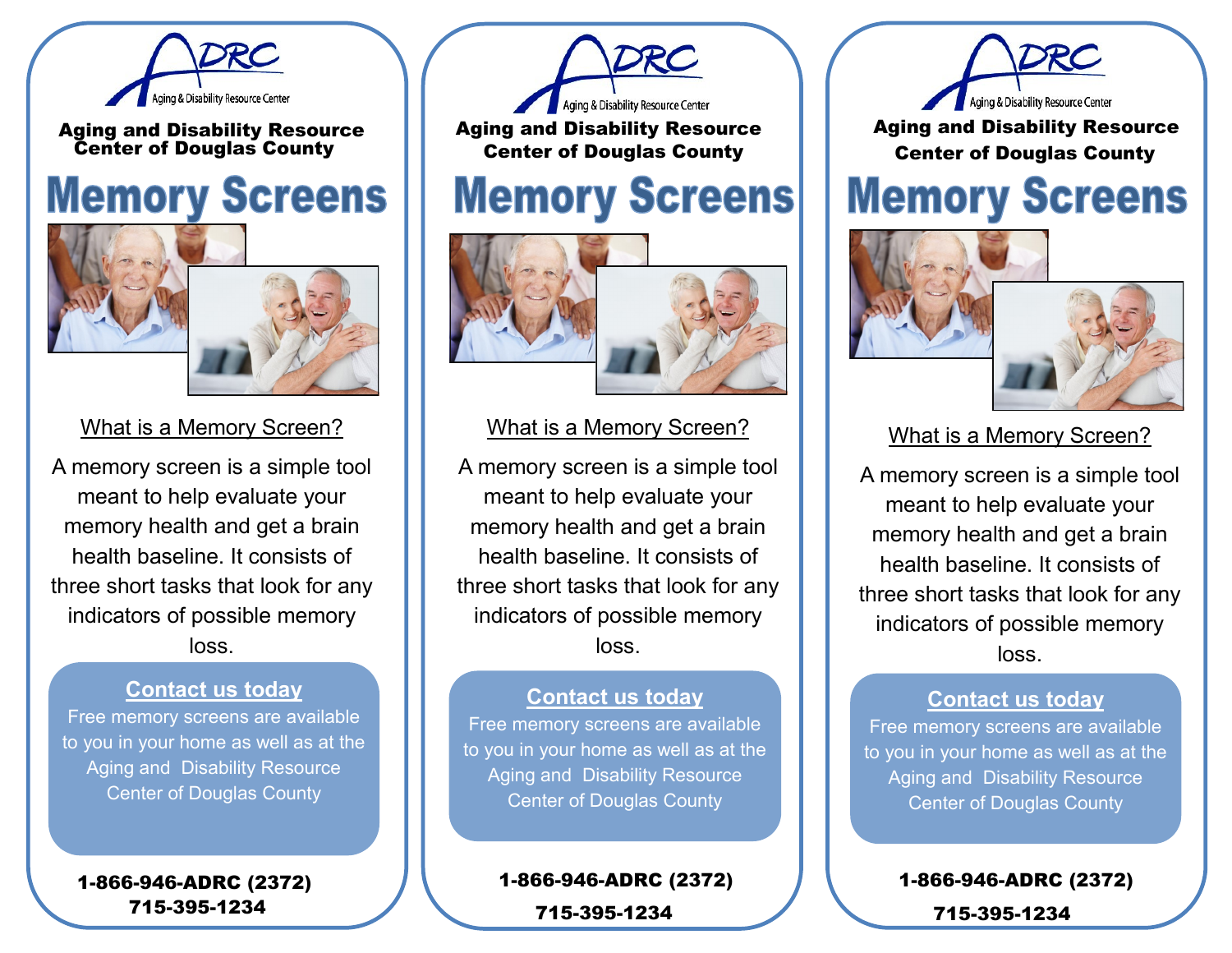

Aging and Disability Resource Center of Douglas County

# **Memory Screens**



### What is a Memory Screen?

A memory screen is a simple tool meant to help evaluate your memory health and get a brain health baseline. It consists of three short tasks that look for any indicators of possible memory loss.

#### **Contact us today**

Free memory screens are available to you in your home as well as at the Aging and Disability Resource Center of Douglas County

1-866-946-ADRC (2372) 715-395-1234



Aging and Disability Resource Center of Douglas County

## **Memory Screens**



#### What is a Memory Screen?

A memory screen is a simple tool meant to help evaluate your memory health and get a brain health baseline. It consists of three short tasks that look for any indicators of possible memory loss.

#### **Contact us today**

Free memory screens are available to you in your home as well as at the Aging and Disability Resource Center of Douglas County

> 1-866-946-ADRC (2372) 715-395-1234



Aging and Disability Resource Center of Douglas County

## **Memory Screens**



### What is a Memory Screen?

A memory screen is a simple tool meant to help evaluate your memory health and get a brain health baseline. It consists of three short tasks that look for any indicators of possible memory loss.

#### **Contact us today**

Free memory screens are available to you in your home as well as at the Aging and Disability Resource Center of Douglas County

> 1-866-946-ADRC (2372) 715-395-1234